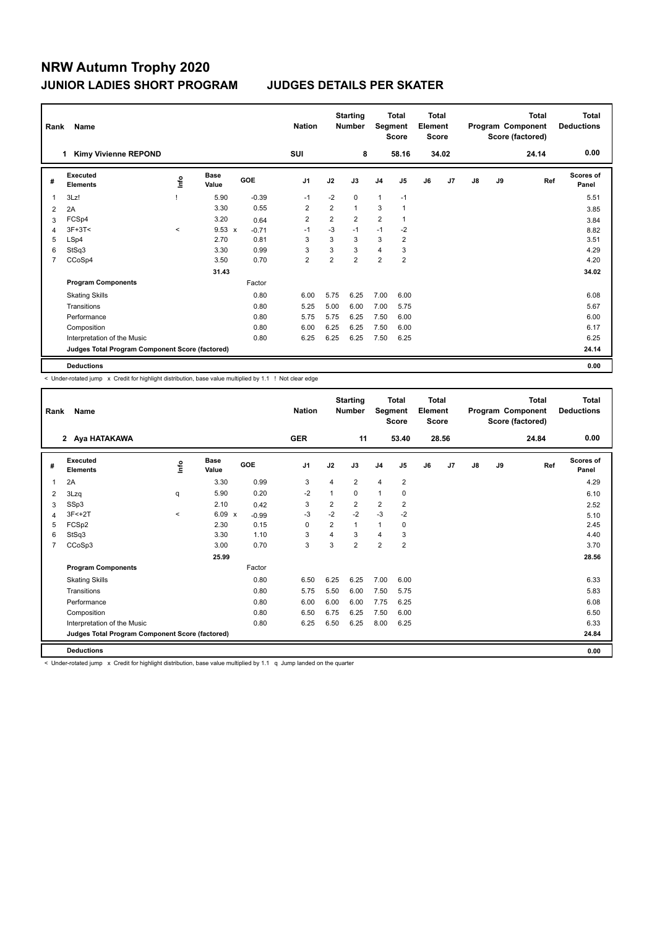| Rank           | Name                                            |         |                      |         | <b>Nation</b>  |      | <b>Starting</b><br><b>Number</b> | Segment        | Total<br><b>Score</b> | <b>Total</b><br>Element<br><b>Score</b> |                |    |    | <b>Total</b><br>Program Component<br>Score (factored) | <b>Total</b><br><b>Deductions</b> |
|----------------|-------------------------------------------------|---------|----------------------|---------|----------------|------|----------------------------------|----------------|-----------------------|-----------------------------------------|----------------|----|----|-------------------------------------------------------|-----------------------------------|
|                | <b>Kimy Vivienne REPOND</b><br>1.               |         |                      |         | SUI            |      | 8                                |                | 58.16                 |                                         | 34.02          |    |    | 24.14                                                 | 0.00                              |
| #              | Executed<br><b>Elements</b>                     | lnfo    | <b>Base</b><br>Value | GOE     | J <sub>1</sub> | J2   | J3                               | J <sub>4</sub> | J <sub>5</sub>        | J6                                      | J <sub>7</sub> | J8 | J9 | Ref                                                   | <b>Scores of</b><br>Panel         |
| 1              | 3Lz!                                            |         | 5.90                 | $-0.39$ | $-1$           | $-2$ | 0                                | $\mathbf{1}$   | $-1$                  |                                         |                |    |    |                                                       | 5.51                              |
| 2              | 2A                                              |         | 3.30                 | 0.55    | $\overline{2}$ | 2    | $\mathbf{1}$                     | 3              | $\mathbf{1}$          |                                         |                |    |    |                                                       | 3.85                              |
| 3              | FCSp4                                           |         | 3.20                 | 0.64    | $\overline{2}$ | 2    | $\overline{2}$                   | $\overline{2}$ | 1                     |                                         |                |    |    |                                                       | 3.84                              |
| 4              | $3F+3T<$                                        | $\prec$ | $9.53 \times$        | $-0.71$ | $-1$           | $-3$ | $-1$                             | $-1$           | $-2$                  |                                         |                |    |    |                                                       | 8.82                              |
| 5              | LSp4                                            |         | 2.70                 | 0.81    | 3              | 3    | 3                                | 3              | $\overline{2}$        |                                         |                |    |    |                                                       | 3.51                              |
| 6              | StSq3                                           |         | 3.30                 | 0.99    | 3              | 3    | 3                                | 4              | 3                     |                                         |                |    |    |                                                       | 4.29                              |
| $\overline{7}$ | CCoSp4                                          |         | 3.50                 | 0.70    | $\overline{2}$ | 2    | $\overline{2}$                   | $\overline{2}$ | $\overline{2}$        |                                         |                |    |    |                                                       | 4.20                              |
|                |                                                 |         | 31.43                |         |                |      |                                  |                |                       |                                         |                |    |    |                                                       | 34.02                             |
|                | <b>Program Components</b>                       |         |                      | Factor  |                |      |                                  |                |                       |                                         |                |    |    |                                                       |                                   |
|                | <b>Skating Skills</b>                           |         |                      | 0.80    | 6.00           | 5.75 | 6.25                             | 7.00           | 6.00                  |                                         |                |    |    |                                                       | 6.08                              |
|                | Transitions                                     |         |                      | 0.80    | 5.25           | 5.00 | 6.00                             | 7.00           | 5.75                  |                                         |                |    |    |                                                       | 5.67                              |
|                | Performance                                     |         |                      | 0.80    | 5.75           | 5.75 | 6.25                             | 7.50           | 6.00                  |                                         |                |    |    |                                                       | 6.00                              |
|                | Composition                                     |         |                      | 0.80    | 6.00           | 6.25 | 6.25                             | 7.50           | 6.00                  |                                         |                |    |    |                                                       | 6.17                              |
|                | Interpretation of the Music                     |         |                      | 0.80    | 6.25           | 6.25 | 6.25                             | 7.50           | 6.25                  |                                         |                |    |    |                                                       | 6.25                              |
|                | Judges Total Program Component Score (factored) |         |                      |         |                |      |                                  |                |                       |                                         |                |    |    |                                                       | 24.14                             |
|                | <b>Deductions</b>                               |         |                      |         |                |      |                                  |                |                       |                                         |                |    |    |                                                       | 0.00                              |

< Under-rotated jump x Credit for highlight distribution, base value multiplied by 1.1 ! Not clear edge

| Rank           | <b>Name</b>                                     |       |                      |         | <b>Nation</b>  |                | <b>Starting</b><br><b>Number</b> | Segment        | <b>Total</b><br><b>Score</b> | <b>Total</b><br>Element<br><b>Score</b> |       |    |    | <b>Total</b><br>Program Component<br>Score (factored) | <b>Total</b><br><b>Deductions</b> |
|----------------|-------------------------------------------------|-------|----------------------|---------|----------------|----------------|----------------------------------|----------------|------------------------------|-----------------------------------------|-------|----|----|-------------------------------------------------------|-----------------------------------|
|                | 2 Aya HATAKAWA                                  |       |                      |         | <b>GER</b>     |                | 11                               |                | 53.40                        |                                         | 28.56 |    |    | 24.84                                                 | 0.00                              |
| #              | Executed<br><b>Elements</b>                     | lnfo  | <b>Base</b><br>Value | GOE     | J <sub>1</sub> | J2             | J3                               | J <sub>4</sub> | J <sub>5</sub>               | J6                                      | J7    | J8 | J9 | Ref                                                   | Scores of<br>Panel                |
| 1              | 2A                                              |       | 3.30                 | 0.99    | 3              | $\overline{4}$ | $\overline{2}$                   | $\overline{4}$ | $\overline{2}$               |                                         |       |    |    |                                                       | 4.29                              |
| 2              | 3Lzq                                            | q     | 5.90                 | 0.20    | $-2$           | $\mathbf{1}$   | $\Omega$                         | $\mathbf{1}$   | 0                            |                                         |       |    |    |                                                       | 6.10                              |
| 3              | SSp3                                            |       | 2.10                 | 0.42    | 3              | $\overline{2}$ | $\overline{2}$                   | $\overline{2}$ | $\overline{2}$               |                                         |       |    |    |                                                       | 2.52                              |
| 4              | $3F < +2T$                                      | $\,<$ | 6.09<br>$\mathbf{x}$ | $-0.99$ | $-3$           | $-2$           | $-2$                             | $-3$           | $-2$                         |                                         |       |    |    |                                                       | 5.10                              |
| 5              | FCSp2                                           |       | 2.30                 | 0.15    | $\mathbf 0$    | $\overline{2}$ | $\mathbf{1}$                     | $\mathbf{1}$   | 0                            |                                         |       |    |    |                                                       | 2.45                              |
| 6              | StSq3                                           |       | 3.30                 | 1.10    | 3              | 4              | 3                                | $\overline{4}$ | 3                            |                                         |       |    |    |                                                       | 4.40                              |
| $\overline{7}$ | CCoSp3                                          |       | 3.00                 | 0.70    | 3              | 3              | $\overline{2}$                   | $\overline{2}$ | $\overline{2}$               |                                         |       |    |    |                                                       | 3.70                              |
|                |                                                 |       | 25.99                |         |                |                |                                  |                |                              |                                         |       |    |    |                                                       | 28.56                             |
|                | <b>Program Components</b>                       |       |                      | Factor  |                |                |                                  |                |                              |                                         |       |    |    |                                                       |                                   |
|                | <b>Skating Skills</b>                           |       |                      | 0.80    | 6.50           | 6.25           | 6.25                             | 7.00           | 6.00                         |                                         |       |    |    |                                                       | 6.33                              |
|                | Transitions                                     |       |                      | 0.80    | 5.75           | 5.50           | 6.00                             | 7.50           | 5.75                         |                                         |       |    |    |                                                       | 5.83                              |
|                | Performance                                     |       |                      | 0.80    | 6.00           | 6.00           | 6.00                             | 7.75           | 6.25                         |                                         |       |    |    |                                                       | 6.08                              |
|                | Composition                                     |       |                      | 0.80    | 6.50           | 6.75           | 6.25                             | 7.50           | 6.00                         |                                         |       |    |    |                                                       | 6.50                              |
|                | Interpretation of the Music                     |       |                      | 0.80    | 6.25           | 6.50           | 6.25                             | 8.00           | 6.25                         |                                         |       |    |    |                                                       | 6.33                              |
|                | Judges Total Program Component Score (factored) |       |                      |         |                |                |                                  |                |                              |                                         |       |    |    |                                                       | 24.84                             |
|                | <b>Deductions</b>                               |       |                      |         |                |                |                                  |                |                              |                                         |       |    |    |                                                       | 0.00                              |

< Under-rotated jump x Credit for highlight distribution, base value multiplied by 1.1 q Jump landed on the quarter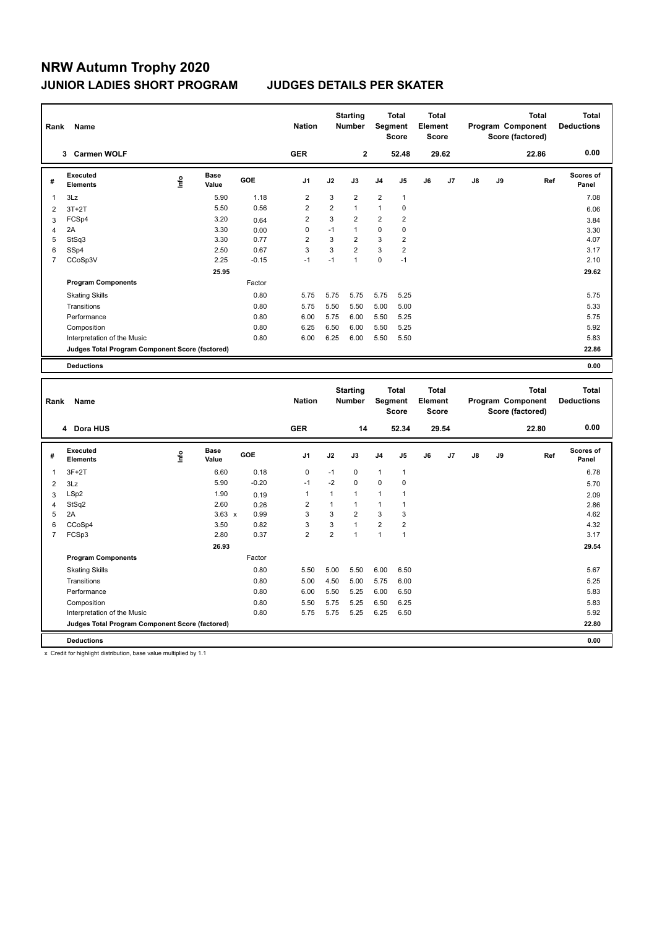| Rank           | Name                                            |      |                      |            | <b>Nation</b>  |                | <b>Starting</b><br><b>Number</b> |                | <b>Total</b><br>Segment<br><b>Score</b> | <b>Total</b><br>Element<br>Score |                |    |    | <b>Total</b><br>Program Component<br>Score (factored) | <b>Total</b><br><b>Deductions</b> |
|----------------|-------------------------------------------------|------|----------------------|------------|----------------|----------------|----------------------------------|----------------|-----------------------------------------|----------------------------------|----------------|----|----|-------------------------------------------------------|-----------------------------------|
|                | <b>Carmen WOLF</b><br>3                         |      |                      |            | <b>GER</b>     |                | $\mathbf{2}$                     |                | 52.48                                   |                                  | 29.62          |    |    | 22.86                                                 | 0.00                              |
| #              | Executed<br><b>Elements</b>                     | lnfo | <b>Base</b><br>Value | <b>GOE</b> | J <sub>1</sub> | J2             | J3                               | J <sub>4</sub> | J <sub>5</sub>                          | J6                               | J <sub>7</sub> | J8 | J9 | Ref                                                   | <b>Scores of</b><br>Panel         |
| 1              | 3Lz                                             |      | 5.90                 | 1.18       | $\overline{2}$ | 3              | $\overline{2}$                   | $\overline{2}$ | $\mathbf{1}$                            |                                  |                |    |    |                                                       | 7.08                              |
| $\overline{2}$ | $3T+2T$                                         |      | 5.50                 | 0.56       | 2              | $\overline{2}$ | $\mathbf{1}$                     | $\mathbf{1}$   | 0                                       |                                  |                |    |    |                                                       | 6.06                              |
| 3              | FCSp4                                           |      | 3.20                 | 0.64       | $\overline{2}$ | 3              | $\overline{2}$                   | $\overline{2}$ | $\overline{2}$                          |                                  |                |    |    |                                                       | 3.84                              |
| $\overline{4}$ | 2A                                              |      | 3.30                 | 0.00       | 0              | $-1$           | $\mathbf{1}$                     | 0              | 0                                       |                                  |                |    |    |                                                       | 3.30                              |
| 5              | StSq3                                           |      | 3.30                 | 0.77       | $\overline{2}$ | 3              | $\overline{2}$                   | 3              | $\overline{2}$                          |                                  |                |    |    |                                                       | 4.07                              |
| 6              | SSp4                                            |      | 2.50                 | 0.67       | 3              | 3              | $\overline{2}$                   | 3              | 2                                       |                                  |                |    |    |                                                       | 3.17                              |
| 7              | CCoSp3V                                         |      | 2.25                 | $-0.15$    | $-1$           | $-1$           | $\overline{1}$                   | 0              | $-1$                                    |                                  |                |    |    |                                                       | 2.10                              |
|                |                                                 |      | 25.95                |            |                |                |                                  |                |                                         |                                  |                |    |    |                                                       | 29.62                             |
|                | <b>Program Components</b>                       |      |                      | Factor     |                |                |                                  |                |                                         |                                  |                |    |    |                                                       |                                   |
|                | <b>Skating Skills</b>                           |      |                      | 0.80       | 5.75           | 5.75           | 5.75                             | 5.75           | 5.25                                    |                                  |                |    |    |                                                       | 5.75                              |
|                | Transitions                                     |      |                      | 0.80       | 5.75           | 5.50           | 5.50                             | 5.00           | 5.00                                    |                                  |                |    |    |                                                       | 5.33                              |
|                | Performance                                     |      |                      | 0.80       | 6.00           | 5.75           | 6.00                             | 5.50           | 5.25                                    |                                  |                |    |    |                                                       | 5.75                              |
|                | Composition                                     |      |                      | 0.80       | 6.25           | 6.50           | 6.00                             | 5.50           | 5.25                                    |                                  |                |    |    |                                                       | 5.92                              |
|                | Interpretation of the Music                     |      |                      | 0.80       | 6.00           | 6.25           | 6.00                             | 5.50           | 5.50                                    |                                  |                |    |    |                                                       | 5.83                              |
|                | Judges Total Program Component Score (factored) |      |                      |            |                |                |                                  |                |                                         |                                  |                |    |    |                                                       | 22.86                             |
|                | <b>Deductions</b>                               |      |                      |            |                |                |                                  |                |                                         |                                  |                |    |    |                                                       | 0.00                              |

| Rank           | Name                                            |      |                      |            | <b>Nation</b>  |                | <b>Starting</b><br><b>Number</b> | Segment        | <b>Total</b><br><b>Score</b> | Total<br>Element<br><b>Score</b> |       |    |    | <b>Total</b><br>Program Component<br>Score (factored) | <b>Total</b><br><b>Deductions</b> |
|----------------|-------------------------------------------------|------|----------------------|------------|----------------|----------------|----------------------------------|----------------|------------------------------|----------------------------------|-------|----|----|-------------------------------------------------------|-----------------------------------|
|                | 4 Dora HUS                                      |      |                      |            | <b>GER</b>     |                | 14                               |                | 52.34                        |                                  | 29.54 |    |    | 22.80                                                 | 0.00                              |
| #              | Executed<br><b>Elements</b>                     | ١nf٥ | <b>Base</b><br>Value | <b>GOE</b> | J <sub>1</sub> | J2             | J3                               | J <sub>4</sub> | J <sub>5</sub>               | J6                               | J7    | J8 | J9 | Ref                                                   | <b>Scores of</b><br>Panel         |
| 1              | $3F+2T$                                         |      | 6.60                 | 0.18       | $\mathbf 0$    | $-1$           | 0                                | $\mathbf{1}$   | $\mathbf{1}$                 |                                  |       |    |    |                                                       | 6.78                              |
| $\overline{2}$ | 3Lz                                             |      | 5.90                 | $-0.20$    | $-1$           | $-2$           | $\mathbf 0$                      | $\mathbf 0$    | 0                            |                                  |       |    |    |                                                       | 5.70                              |
| 3              | LSp2                                            |      | 1.90                 | 0.19       | $\overline{1}$ | 1              | $\mathbf{1}$                     | 1              | 1                            |                                  |       |    |    |                                                       | 2.09                              |
| $\overline{4}$ | StSq2                                           |      | 2.60                 | 0.26       | 2              | 1              | $\mathbf{1}$                     | $\mathbf{1}$   | 1                            |                                  |       |    |    |                                                       | 2.86                              |
| 5              | 2A                                              |      | $3.63 \times$        | 0.99       | 3              | 3              | $\overline{2}$                   | 3              | 3                            |                                  |       |    |    |                                                       | 4.62                              |
| 6              | CCoSp4                                          |      | 3.50                 | 0.82       | 3              | 3              | $\overline{1}$                   | $\overline{2}$ | 2                            |                                  |       |    |    |                                                       | 4.32                              |
| $\overline{7}$ | FCSp3                                           |      | 2.80                 | 0.37       | $\overline{2}$ | $\overline{2}$ |                                  | 1              | 1                            |                                  |       |    |    |                                                       | 3.17                              |
|                |                                                 |      | 26.93                |            |                |                |                                  |                |                              |                                  |       |    |    |                                                       | 29.54                             |
|                | <b>Program Components</b>                       |      |                      | Factor     |                |                |                                  |                |                              |                                  |       |    |    |                                                       |                                   |
|                | <b>Skating Skills</b>                           |      |                      | 0.80       | 5.50           | 5.00           | 5.50                             | 6.00           | 6.50                         |                                  |       |    |    |                                                       | 5.67                              |
|                | Transitions                                     |      |                      | 0.80       | 5.00           | 4.50           | 5.00                             | 5.75           | 6.00                         |                                  |       |    |    |                                                       | 5.25                              |
|                | Performance                                     |      |                      | 0.80       | 6.00           | 5.50           | 5.25                             | 6.00           | 6.50                         |                                  |       |    |    |                                                       | 5.83                              |
|                | Composition                                     |      |                      | 0.80       | 5.50           | 5.75           | 5.25                             | 6.50           | 6.25                         |                                  |       |    |    |                                                       | 5.83                              |
|                | Interpretation of the Music                     |      |                      | 0.80       | 5.75           | 5.75           | 5.25                             | 6.25           | 6.50                         |                                  |       |    |    |                                                       | 5.92                              |
|                | Judges Total Program Component Score (factored) |      |                      |            |                |                |                                  |                |                              |                                  |       |    |    |                                                       | 22.80                             |
|                | <b>Deductions</b>                               |      |                      |            |                |                |                                  |                |                              |                                  |       |    |    |                                                       | 0.00                              |

x Credit for highlight distribution, base value multiplied by 1.1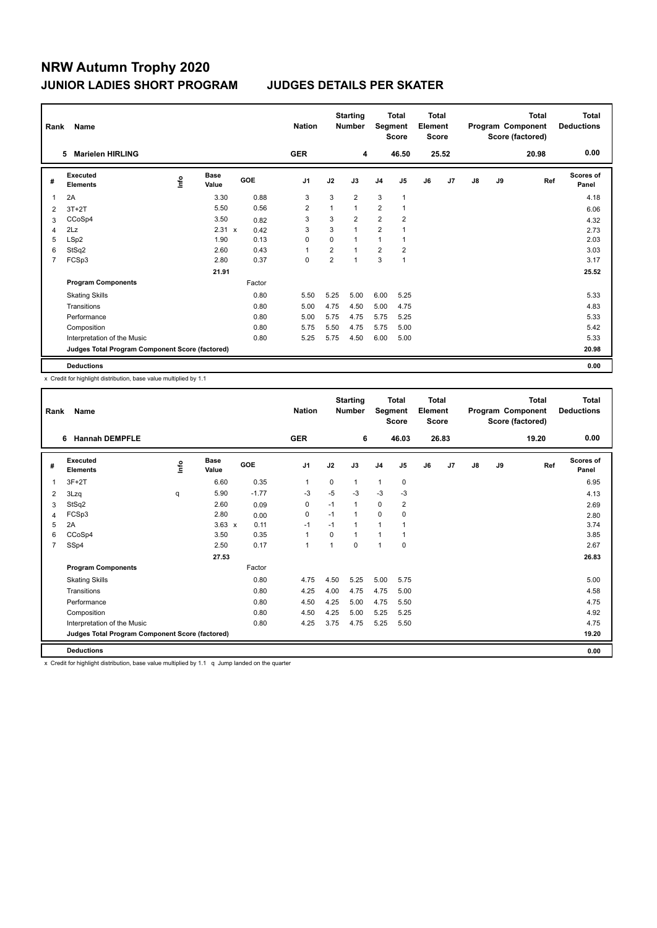| Rank           | Name                                            |      |                      |            | <b>Nation</b>  |                | <b>Starting</b><br><b>Number</b> | Segment        | <b>Total</b><br><b>Score</b> | <b>Total</b><br>Element<br><b>Score</b> |       |               |    | <b>Total</b><br>Program Component<br>Score (factored) | Total<br><b>Deductions</b> |
|----------------|-------------------------------------------------|------|----------------------|------------|----------------|----------------|----------------------------------|----------------|------------------------------|-----------------------------------------|-------|---------------|----|-------------------------------------------------------|----------------------------|
|                | <b>Marielen HIRLING</b><br>5.                   |      |                      |            | <b>GER</b>     |                | 4                                |                | 46.50                        |                                         | 25.52 |               |    | 20.98                                                 | 0.00                       |
| #              | <b>Executed</b><br><b>Elements</b>              | lnfo | <b>Base</b><br>Value | <b>GOE</b> | J <sub>1</sub> | J2             | J3                               | J <sub>4</sub> | J <sub>5</sub>               | J6                                      | J7    | $\mathsf{J}8$ | J9 | Ref                                                   | Scores of<br>Panel         |
| 1              | 2A                                              |      | 3.30                 | 0.88       | 3              | 3              | $\overline{2}$                   | 3              | $\mathbf{1}$                 |                                         |       |               |    |                                                       | 4.18                       |
| 2              | $3T+2T$                                         |      | 5.50                 | 0.56       | 2              | $\mathbf{1}$   | $\mathbf{1}$                     | $\overline{2}$ | $\mathbf{1}$                 |                                         |       |               |    |                                                       | 6.06                       |
| 3              | CCoSp4                                          |      | 3.50                 | 0.82       | 3              | 3              | $\overline{2}$                   | 2              | $\overline{2}$               |                                         |       |               |    |                                                       | 4.32                       |
| 4              | 2Lz                                             |      | $2.31 \times$        | 0.42       | 3              | 3              | $\mathbf{1}$                     | $\overline{2}$ |                              |                                         |       |               |    |                                                       | 2.73                       |
| 5              | LSp2                                            |      | 1.90                 | 0.13       | 0              | $\Omega$       | 1                                | 1              |                              |                                         |       |               |    |                                                       | 2.03                       |
| 6              | StSq2                                           |      | 2.60                 | 0.43       | 1              | $\overline{2}$ | $\overline{1}$                   | $\overline{2}$ | $\overline{2}$               |                                         |       |               |    |                                                       | 3.03                       |
| $\overline{7}$ | FCSp3                                           |      | 2.80                 | 0.37       | $\mathbf 0$    | $\overline{2}$ | 1                                | 3              | $\mathbf{1}$                 |                                         |       |               |    |                                                       | 3.17                       |
|                |                                                 |      | 21.91                |            |                |                |                                  |                |                              |                                         |       |               |    |                                                       | 25.52                      |
|                | <b>Program Components</b>                       |      |                      | Factor     |                |                |                                  |                |                              |                                         |       |               |    |                                                       |                            |
|                | <b>Skating Skills</b>                           |      |                      | 0.80       | 5.50           | 5.25           | 5.00                             | 6.00           | 5.25                         |                                         |       |               |    |                                                       | 5.33                       |
|                | Transitions                                     |      |                      | 0.80       | 5.00           | 4.75           | 4.50                             | 5.00           | 4.75                         |                                         |       |               |    |                                                       | 4.83                       |
|                | Performance                                     |      |                      | 0.80       | 5.00           | 5.75           | 4.75                             | 5.75           | 5.25                         |                                         |       |               |    |                                                       | 5.33                       |
|                | Composition                                     |      |                      | 0.80       | 5.75           | 5.50           | 4.75                             | 5.75           | 5.00                         |                                         |       |               |    |                                                       | 5.42                       |
|                | Interpretation of the Music                     |      |                      | 0.80       | 5.25           | 5.75           | 4.50                             | 6.00           | 5.00                         |                                         |       |               |    |                                                       | 5.33                       |
|                | Judges Total Program Component Score (factored) |      |                      |            |                |                |                                  |                |                              |                                         |       |               |    |                                                       | 20.98                      |
|                | <b>Deductions</b>                               |      |                      |            |                |                |                                  |                |                              |                                         |       |               |    |                                                       | 0.00                       |

x Credit for highlight distribution, base value multiplied by 1.1

|                                                                                                                                                                                    | 19.20 |                           |
|------------------------------------------------------------------------------------------------------------------------------------------------------------------------------------|-------|---------------------------|
| <b>GER</b><br>6 Hannah DEMPFLE<br>6<br>46.03<br>26.83                                                                                                                              |       | 0.00                      |
| Executed<br><b>Base</b><br><b>Lin</b><br>GOE<br>J <sub>1</sub><br>J2<br>J6<br>J7<br>J3<br>J <sub>4</sub><br>J <sub>5</sub><br>$\mathsf{J}8$<br>J9<br>#<br><b>Elements</b><br>Value | Ref   | <b>Scores of</b><br>Panel |
| 6.60<br>0.35<br>$3F+2T$<br>0<br>$\mathbf{1}$<br>0<br>$\overline{1}$<br>1<br>1                                                                                                      |       | 6.95                      |
| $-5$<br>$-3$<br>5.90<br>$-1.77$<br>$-3$<br>$-3$<br>$-3$<br>3Lzq<br>q<br>2                                                                                                          |       | 4.13                      |
| StSq2<br>2.60<br>$-1$<br>0<br>2<br>0<br>0.09<br>1<br>3                                                                                                                             |       | 2.69                      |
| $\mathbf 0$<br>FCSp3<br>2.80<br>0<br>$-1$<br>0<br>0.00<br>1<br>4                                                                                                                   |       | 2.80                      |
| 2A<br>$-1$<br>$3.63 \times$<br>0.11<br>$-1$<br>$\mathbf{1}$<br>5<br>1                                                                                                              |       | 3.74                      |
| CCoSp4<br>3.50<br>0.35<br>1<br>$\Omega$<br>6<br>1<br>1                                                                                                                             |       | 3.85                      |
| SSp4<br>2.50<br>0.17<br>0<br>$\mathbf 0$<br>$\overline{7}$<br>1<br>$\overline{1}$<br>$\mathbf{1}$                                                                                  |       | 2.67                      |
| 27.53                                                                                                                                                                              |       | 26.83                     |
| Factor<br><b>Program Components</b>                                                                                                                                                |       |                           |
| 0.80<br>4.75<br>4.50<br>5.25<br>5.00<br><b>Skating Skills</b><br>5.75                                                                                                              |       | 5.00                      |
| Transitions<br>0.80<br>4.25<br>4.00<br>4.75<br>4.75<br>5.00                                                                                                                        |       | 4.58                      |
| 0.80<br>4.25<br>4.75<br>Performance<br>4.50<br>5.00<br>5.50                                                                                                                        |       | 4.75                      |
| 0.80<br>4.25<br>5.25<br>5.25<br>Composition<br>4.50<br>5.00                                                                                                                        |       | 4.92                      |
| 4.25<br>3.75<br>4.75<br>5.25<br>Interpretation of the Music<br>0.80<br>5.50                                                                                                        |       | 4.75                      |
| Judges Total Program Component Score (factored)                                                                                                                                    |       | 19.20                     |
| <b>Deductions</b>                                                                                                                                                                  |       | 0.00                      |

x Credit for highlight distribution, base value multiplied by 1.1 q Jump landed on the quarter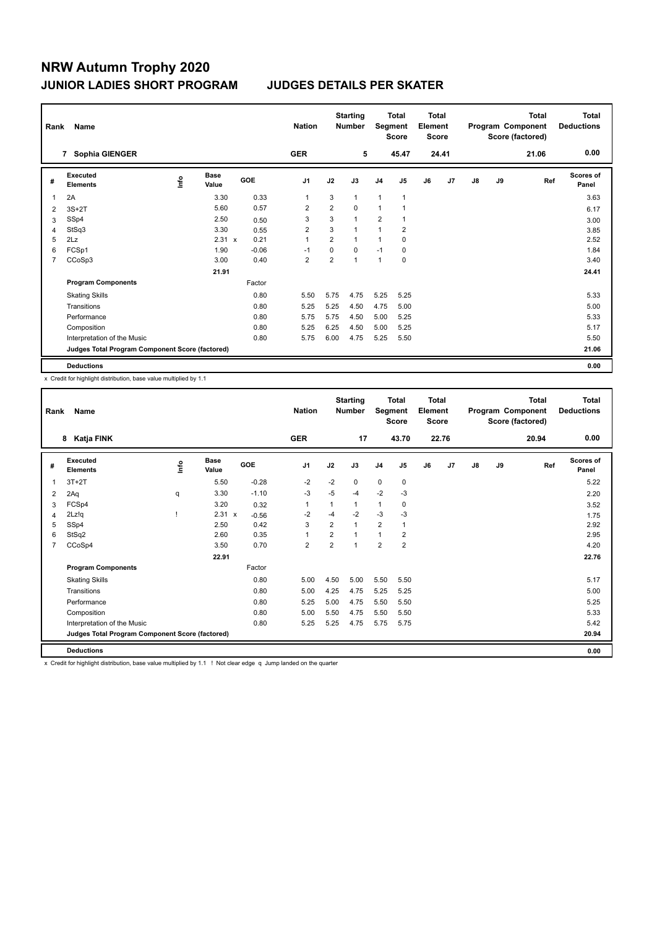| Rank           | Name                                            |    |                      |         | <b>Nation</b>  |                | <b>Starting</b><br><b>Number</b> | Segment        | <b>Total</b><br><b>Score</b> | <b>Total</b><br>Element<br><b>Score</b> |       |    |    | <b>Total</b><br>Program Component<br>Score (factored) | <b>Total</b><br><b>Deductions</b> |
|----------------|-------------------------------------------------|----|----------------------|---------|----------------|----------------|----------------------------------|----------------|------------------------------|-----------------------------------------|-------|----|----|-------------------------------------------------------|-----------------------------------|
|                | Sophia GIENGER<br>7                             |    |                      |         | <b>GER</b>     |                | 5                                |                | 45.47                        |                                         | 24.41 |    |    | 21.06                                                 | 0.00                              |
| #              | <b>Executed</b><br><b>Elements</b>              | ۴ů | <b>Base</b><br>Value | GOE     | J <sub>1</sub> | J2             | J3                               | J <sub>4</sub> | J5                           | J6                                      | J7    | J8 | J9 | Ref                                                   | <b>Scores of</b><br>Panel         |
| 1              | 2A                                              |    | 3.30                 | 0.33    | $\mathbf 1$    | 3              | $\mathbf{1}$                     | 1              | $\mathbf{1}$                 |                                         |       |    |    |                                                       | 3.63                              |
| 2              | $3S+2T$                                         |    | 5.60                 | 0.57    | $\overline{2}$ | $\overline{2}$ | $\Omega$                         | $\mathbf{1}$   |                              |                                         |       |    |    |                                                       | 6.17                              |
| 3              | SSp4                                            |    | 2.50                 | 0.50    | 3              | 3              | $\overline{1}$                   | $\overline{2}$ |                              |                                         |       |    |    |                                                       | 3.00                              |
| 4              | StSq3                                           |    | 3.30                 | 0.55    | $\overline{2}$ | 3              | $\overline{1}$                   | 1              | $\overline{2}$               |                                         |       |    |    |                                                       | 3.85                              |
| 5              | 2Lz                                             |    | $2.31 \times$        | 0.21    | $\overline{1}$ | $\overline{2}$ | 1                                | 1              | 0                            |                                         |       |    |    |                                                       | 2.52                              |
| 6              | FCSp1                                           |    | 1.90                 | $-0.06$ | -1             | $\mathbf 0$    | 0                                | $-1$           | 0                            |                                         |       |    |    |                                                       | 1.84                              |
| $\overline{7}$ | CCoSp3                                          |    | 3.00                 | 0.40    | $\overline{2}$ | $\overline{2}$ | 1                                | $\mathbf{1}$   | $\mathbf 0$                  |                                         |       |    |    |                                                       | 3.40                              |
|                |                                                 |    | 21.91                |         |                |                |                                  |                |                              |                                         |       |    |    |                                                       | 24.41                             |
|                | <b>Program Components</b>                       |    |                      | Factor  |                |                |                                  |                |                              |                                         |       |    |    |                                                       |                                   |
|                | <b>Skating Skills</b>                           |    |                      | 0.80    | 5.50           | 5.75           | 4.75                             | 5.25           | 5.25                         |                                         |       |    |    |                                                       | 5.33                              |
|                | Transitions                                     |    |                      | 0.80    | 5.25           | 5.25           | 4.50                             | 4.75           | 5.00                         |                                         |       |    |    |                                                       | 5.00                              |
|                | Performance                                     |    |                      | 0.80    | 5.75           | 5.75           | 4.50                             | 5.00           | 5.25                         |                                         |       |    |    |                                                       | 5.33                              |
|                | Composition                                     |    |                      | 0.80    | 5.25           | 6.25           | 4.50                             | 5.00           | 5.25                         |                                         |       |    |    |                                                       | 5.17                              |
|                | Interpretation of the Music                     |    |                      | 0.80    | 5.75           | 6.00           | 4.75                             | 5.25           | 5.50                         |                                         |       |    |    |                                                       | 5.50                              |
|                | Judges Total Program Component Score (factored) |    |                      |         |                |                |                                  |                |                              |                                         |       |    |    |                                                       | 21.06                             |
|                | <b>Deductions</b>                               |    |                      |         |                |                |                                  |                |                              |                                         |       |    |    |                                                       | 0.00                              |

x Credit for highlight distribution, base value multiplied by 1.1

| Rank           | Name                                            |             |                      |         | <b>Nation</b>  |                | <b>Starting</b><br><b>Number</b> | Segment        | <b>Total</b><br><b>Score</b> | <b>Total</b><br>Element<br><b>Score</b> |       |    |    | <b>Total</b><br>Program Component<br>Score (factored) | <b>Total</b><br><b>Deductions</b> |
|----------------|-------------------------------------------------|-------------|----------------------|---------|----------------|----------------|----------------------------------|----------------|------------------------------|-----------------------------------------|-------|----|----|-------------------------------------------------------|-----------------------------------|
|                | Katja FINK<br>8                                 |             |                      |         | <b>GER</b>     |                | 17                               |                | 43.70                        |                                         | 22.76 |    |    | 20.94                                                 | 0.00                              |
| #              | Executed<br><b>Elements</b>                     | <u>info</u> | <b>Base</b><br>Value | GOE     | J <sub>1</sub> | J2             | J3                               | J <sub>4</sub> | J5                           | J6                                      | J7    | J8 | J9 | Ref                                                   | Scores of<br>Panel                |
| 1              | $3T+2T$                                         |             | 5.50                 | $-0.28$ | $-2$           | $-2$           | 0                                | $\mathbf 0$    | 0                            |                                         |       |    |    |                                                       | 5.22                              |
| 2              | 2Aq                                             | q           | 3.30                 | $-1.10$ | -3             | $-5$           | $-4$                             | $-2$           | $-3$                         |                                         |       |    |    |                                                       | 2.20                              |
| 3              | FCSp4                                           |             | 3.20                 | 0.32    | $\mathbf{1}$   | 1              | $\mathbf{1}$                     | $\mathbf{1}$   | 0                            |                                         |       |    |    |                                                       | 3.52                              |
| 4              | 2Lz!q                                           |             | 2.31 x               | $-0.56$ | $-2$           | $-4$           | $-2$                             | $-3$           | -3                           |                                         |       |    |    |                                                       | 1.75                              |
| 5              | SSp4                                            |             | 2.50                 | 0.42    | 3              | $\overline{2}$ | 1                                | $\overline{2}$ | 1                            |                                         |       |    |    |                                                       | 2.92                              |
| 6              | StSq2                                           |             | 2.60                 | 0.35    | $\mathbf{1}$   | $\overline{2}$ | $\overline{1}$                   | $\mathbf{1}$   | $\overline{2}$               |                                         |       |    |    |                                                       | 2.95                              |
| $\overline{7}$ | CCoSp4                                          |             | 3.50                 | 0.70    | $\overline{2}$ | $\overline{2}$ | 1                                | $\overline{2}$ | $\overline{2}$               |                                         |       |    |    |                                                       | 4.20                              |
|                |                                                 |             | 22.91                |         |                |                |                                  |                |                              |                                         |       |    |    |                                                       | 22.76                             |
|                | <b>Program Components</b>                       |             |                      | Factor  |                |                |                                  |                |                              |                                         |       |    |    |                                                       |                                   |
|                | <b>Skating Skills</b>                           |             |                      | 0.80    | 5.00           | 4.50           | 5.00                             | 5.50           | 5.50                         |                                         |       |    |    |                                                       | 5.17                              |
|                | Transitions                                     |             |                      | 0.80    | 5.00           | 4.25           | 4.75                             | 5.25           | 5.25                         |                                         |       |    |    |                                                       | 5.00                              |
|                | Performance                                     |             |                      | 0.80    | 5.25           | 5.00           | 4.75                             | 5.50           | 5.50                         |                                         |       |    |    |                                                       | 5.25                              |
|                | Composition                                     |             |                      | 0.80    | 5.00           | 5.50           | 4.75                             | 5.50           | 5.50                         |                                         |       |    |    |                                                       | 5.33                              |
|                | Interpretation of the Music                     |             |                      | 0.80    | 5.25           | 5.25           | 4.75                             | 5.75           | 5.75                         |                                         |       |    |    |                                                       | 5.42                              |
|                | Judges Total Program Component Score (factored) |             |                      |         |                |                |                                  |                |                              |                                         |       |    |    |                                                       | 20.94                             |
|                | <b>Deductions</b>                               |             |                      |         |                |                |                                  |                |                              |                                         |       |    |    |                                                       | 0.00                              |

x Credit for highlight distribution, base value multiplied by 1.1 ! Not clear edge q Jump landed on the quarter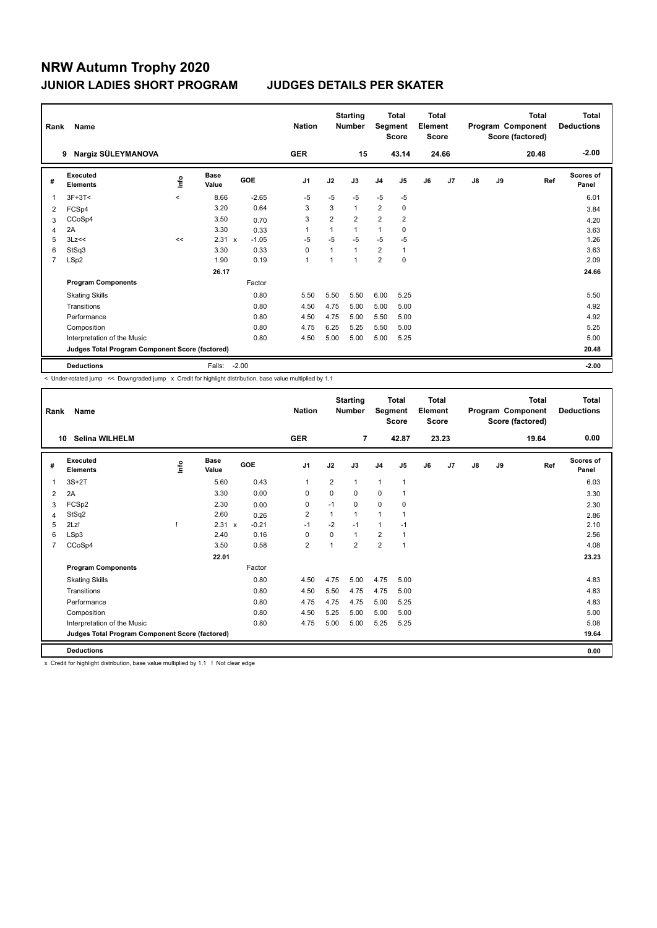| Rank           | Name                                            |         |                      |         | <b>Nation</b>  |                | <b>Starting</b><br><b>Number</b> | Segment        | <b>Total</b><br><b>Score</b> | <b>Total</b><br>Element<br><b>Score</b> |                |               |    | <b>Total</b><br>Program Component<br>Score (factored) | Total<br><b>Deductions</b> |
|----------------|-------------------------------------------------|---------|----------------------|---------|----------------|----------------|----------------------------------|----------------|------------------------------|-----------------------------------------|----------------|---------------|----|-------------------------------------------------------|----------------------------|
|                | Nargiz SÜLEYMANOVA<br>9                         |         |                      |         | <b>GER</b>     |                | 15                               |                | 43.14                        |                                         | 24.66          |               |    | 20.48                                                 | $-2.00$                    |
| #              | Executed<br><b>Elements</b>                     | lnfo    | <b>Base</b><br>Value | GOE     | J <sub>1</sub> | J2             | J3                               | J <sub>4</sub> | J <sub>5</sub>               | J6                                      | J <sub>7</sub> | $\mathsf{J}8$ | J9 | Ref                                                   | Scores of<br>Panel         |
| 1              | $3F+3T<$                                        | $\prec$ | 8.66                 | $-2.65$ | $-5$           | $-5$           | $-5$                             | $-5$           | $-5$                         |                                         |                |               |    |                                                       | 6.01                       |
| 2              | FCSp4                                           |         | 3.20                 | 0.64    | 3              | 3              | $\mathbf{1}$                     | 2              | $\Omega$                     |                                         |                |               |    |                                                       | 3.84                       |
| 3              | CCoSp4                                          |         | 3.50                 | 0.70    | 3              | $\overline{2}$ | $\overline{2}$                   | $\overline{2}$ | $\overline{2}$               |                                         |                |               |    |                                                       | 4.20                       |
| 4              | 2A                                              |         | 3.30                 | 0.33    | 1              |                | $\mathbf{1}$                     | $\mathbf{1}$   | 0                            |                                         |                |               |    |                                                       | 3.63                       |
| 5              | 3Lz<<                                           | <<      | $2.31 \times$        | $-1.05$ | $-5$           | $-5$           | $-5$                             | $-5$           | $-5$                         |                                         |                |               |    |                                                       | 1.26                       |
| 6              | StSq3                                           |         | 3.30                 | 0.33    | 0              |                | $\mathbf{1}$                     | $\overline{2}$ | $\mathbf{1}$                 |                                         |                |               |    |                                                       | 3.63                       |
| $\overline{7}$ | LSp2                                            |         | 1.90                 | 0.19    | $\overline{1}$ |                | $\mathbf{1}$                     | $\overline{2}$ | 0                            |                                         |                |               |    |                                                       | 2.09                       |
|                |                                                 |         | 26.17                |         |                |                |                                  |                |                              |                                         |                |               |    |                                                       | 24.66                      |
|                | <b>Program Components</b>                       |         |                      | Factor  |                |                |                                  |                |                              |                                         |                |               |    |                                                       |                            |
|                | <b>Skating Skills</b>                           |         |                      | 0.80    | 5.50           | 5.50           | 5.50                             | 6.00           | 5.25                         |                                         |                |               |    |                                                       | 5.50                       |
|                | Transitions                                     |         |                      | 0.80    | 4.50           | 4.75           | 5.00                             | 5.00           | 5.00                         |                                         |                |               |    |                                                       | 4.92                       |
|                | Performance                                     |         |                      | 0.80    | 4.50           | 4.75           | 5.00                             | 5.50           | 5.00                         |                                         |                |               |    |                                                       | 4.92                       |
|                | Composition                                     |         |                      | 0.80    | 4.75           | 6.25           | 5.25                             | 5.50           | 5.00                         |                                         |                |               |    |                                                       | 5.25                       |
|                | Interpretation of the Music                     |         |                      | 0.80    | 4.50           | 5.00           | 5.00                             | 5.00           | 5.25                         |                                         |                |               |    |                                                       | 5.00                       |
|                | Judges Total Program Component Score (factored) |         |                      |         |                |                |                                  |                |                              |                                         |                |               |    |                                                       | 20.48                      |
|                | <b>Deductions</b>                               |         | Falls:               | $-2.00$ |                |                |                                  |                |                              |                                         |                |               |    |                                                       | $-2.00$                    |

< Under-rotated jump << Downgraded jump x Credit for highlight distribution, base value multiplied by 1.1

| Rank           | Name                                            |             |                      |         | <b>Nation</b>  |                | <b>Starting</b><br><b>Number</b> | Segment        | <b>Total</b><br><b>Score</b> | <b>Total</b><br>Element<br><b>Score</b> |       |    |    | <b>Total</b><br>Program Component<br>Score (factored) | <b>Total</b><br><b>Deductions</b> |
|----------------|-------------------------------------------------|-------------|----------------------|---------|----------------|----------------|----------------------------------|----------------|------------------------------|-----------------------------------------|-------|----|----|-------------------------------------------------------|-----------------------------------|
|                | Selina WILHELM<br>10                            |             |                      |         | <b>GER</b>     |                | 7                                |                | 42.87                        |                                         | 23.23 |    |    | 19.64                                                 | 0.00                              |
| #              | Executed<br><b>Elements</b>                     | <u>info</u> | <b>Base</b><br>Value | GOE     | J <sub>1</sub> | J2             | J3                               | J <sub>4</sub> | J5                           | J6                                      | J7    | J8 | J9 | Ref                                                   | Scores of<br>Panel                |
| 1              | $3S+2T$                                         |             | 5.60                 | 0.43    | $\mathbf{1}$   | $\overline{2}$ | $\mathbf{1}$                     | $\mathbf{1}$   | $\mathbf{1}$                 |                                         |       |    |    |                                                       | 6.03                              |
| 2              | 2A                                              |             | 3.30                 | 0.00    | 0              | 0              | 0                                | $\mathbf 0$    | 1                            |                                         |       |    |    |                                                       | 3.30                              |
| 3              | FCSp2                                           |             | 2.30                 | 0.00    | 0              | $-1$           | 0                                | $\mathbf 0$    | 0                            |                                         |       |    |    |                                                       | 2.30                              |
| 4              | StSq2                                           |             | 2.60                 | 0.26    | $\overline{2}$ | 1              | 1                                | 1              |                              |                                         |       |    |    |                                                       | 2.86                              |
| 5              | 2Lz!                                            |             | 2.31 x               | $-0.21$ | $-1$           | $-2$           | $-1$                             | $\mathbf{1}$   | $-1$                         |                                         |       |    |    |                                                       | 2.10                              |
| 6              | LSp3                                            |             | 2.40                 | 0.16    | $\mathbf 0$    | $\Omega$       | 1                                | $\overline{2}$ | 1                            |                                         |       |    |    |                                                       | 2.56                              |
| $\overline{7}$ | CCoSp4                                          |             | 3.50                 | 0.58    | $\overline{2}$ | $\overline{1}$ | $\overline{2}$                   | $\overline{2}$ | 1                            |                                         |       |    |    |                                                       | 4.08                              |
|                |                                                 |             | 22.01                |         |                |                |                                  |                |                              |                                         |       |    |    |                                                       | 23.23                             |
|                | <b>Program Components</b>                       |             |                      | Factor  |                |                |                                  |                |                              |                                         |       |    |    |                                                       |                                   |
|                | <b>Skating Skills</b>                           |             |                      | 0.80    | 4.50           | 4.75           | 5.00                             | 4.75           | 5.00                         |                                         |       |    |    |                                                       | 4.83                              |
|                | Transitions                                     |             |                      | 0.80    | 4.50           | 5.50           | 4.75                             | 4.75           | 5.00                         |                                         |       |    |    |                                                       | 4.83                              |
|                | Performance                                     |             |                      | 0.80    | 4.75           | 4.75           | 4.75                             | 5.00           | 5.25                         |                                         |       |    |    |                                                       | 4.83                              |
|                | Composition                                     |             |                      | 0.80    | 4.50           | 5.25           | 5.00                             | 5.00           | 5.00                         |                                         |       |    |    |                                                       | 5.00                              |
|                | Interpretation of the Music                     |             |                      | 0.80    | 4.75           | 5.00           | 5.00                             | 5.25           | 5.25                         |                                         |       |    |    |                                                       | 5.08                              |
|                | Judges Total Program Component Score (factored) |             |                      |         |                |                |                                  |                |                              |                                         |       |    |    |                                                       | 19.64                             |
|                | <b>Deductions</b>                               |             |                      |         |                |                |                                  |                |                              |                                         |       |    |    |                                                       | 0.00                              |

x Credit for highlight distribution, base value multiplied by 1.1 ! Not clear edge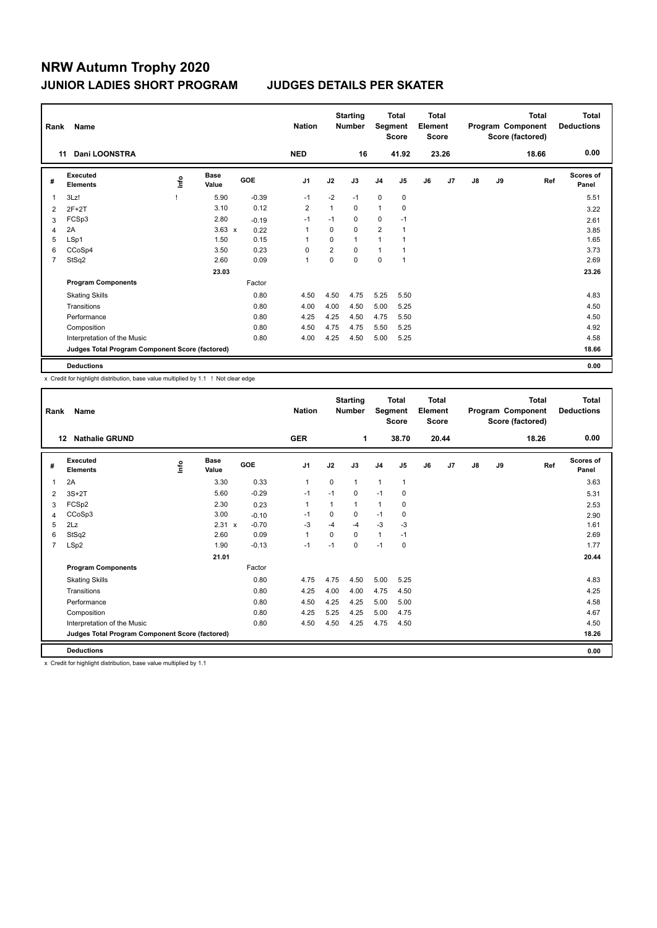| Rank           | Name                                            |      |                      |         | <b>Nation</b>  |                | <b>Starting</b><br><b>Number</b> |                | <b>Total</b><br>Segment<br><b>Score</b> | <b>Total</b><br>Element<br><b>Score</b> |       |               |    | <b>Total</b><br>Program Component<br>Score (factored) | <b>Total</b><br><b>Deductions</b> |
|----------------|-------------------------------------------------|------|----------------------|---------|----------------|----------------|----------------------------------|----------------|-----------------------------------------|-----------------------------------------|-------|---------------|----|-------------------------------------------------------|-----------------------------------|
|                | Dani LOONSTRA<br>11                             |      |                      |         | <b>NED</b>     |                | 16                               |                | 41.92                                   |                                         | 23.26 |               |    | 18.66                                                 | 0.00                              |
| #              | Executed<br><b>Elements</b>                     | lnfo | <b>Base</b><br>Value | GOE     | J <sub>1</sub> | J2             | J3                               | J <sub>4</sub> | J <sub>5</sub>                          | J6                                      | J7    | $\mathsf{J}8$ | J9 | Ref                                                   | <b>Scores of</b><br>Panel         |
|                | 3Lz!                                            |      | 5.90                 | $-0.39$ | $-1$           | $-2$           | $-1$                             | $\mathbf 0$    | 0                                       |                                         |       |               |    |                                                       | 5.51                              |
| $\overline{2}$ | $2F+2T$                                         |      | 3.10                 | 0.12    | $\overline{2}$ | 1              | $\mathbf 0$                      | $\overline{1}$ | 0                                       |                                         |       |               |    |                                                       | 3.22                              |
| 3              | FCSp3                                           |      | 2.80                 | $-0.19$ | $-1$           | $-1$           | 0                                | $\mathbf 0$    | $-1$                                    |                                         |       |               |    |                                                       | 2.61                              |
| 4              | 2A                                              |      | $3.63 \times$        | 0.22    | 1              | 0              | 0                                | $\overline{2}$ |                                         |                                         |       |               |    |                                                       | 3.85                              |
| 5              | LSp1                                            |      | 1.50                 | 0.15    | 1              | $\Omega$       | $\mathbf{1}$                     | 1              |                                         |                                         |       |               |    |                                                       | 1.65                              |
| 6              | CCoSp4                                          |      | 3.50                 | 0.23    | 0              | $\overline{2}$ | $\Omega$                         | $\overline{1}$ | 1                                       |                                         |       |               |    |                                                       | 3.73                              |
| $\overline{7}$ | StSq2                                           |      | 2.60                 | 0.09    | 1              | 0              | $\mathbf 0$                      | $\mathbf 0$    | $\overline{1}$                          |                                         |       |               |    |                                                       | 2.69                              |
|                |                                                 |      | 23.03                |         |                |                |                                  |                |                                         |                                         |       |               |    |                                                       | 23.26                             |
|                | <b>Program Components</b>                       |      |                      | Factor  |                |                |                                  |                |                                         |                                         |       |               |    |                                                       |                                   |
|                | <b>Skating Skills</b>                           |      |                      | 0.80    | 4.50           | 4.50           | 4.75                             | 5.25           | 5.50                                    |                                         |       |               |    |                                                       | 4.83                              |
|                | Transitions                                     |      |                      | 0.80    | 4.00           | 4.00           | 4.50                             | 5.00           | 5.25                                    |                                         |       |               |    |                                                       | 4.50                              |
|                | Performance                                     |      |                      | 0.80    | 4.25           | 4.25           | 4.50                             | 4.75           | 5.50                                    |                                         |       |               |    |                                                       | 4.50                              |
|                | Composition                                     |      |                      | 0.80    | 4.50           | 4.75           | 4.75                             | 5.50           | 5.25                                    |                                         |       |               |    |                                                       | 4.92                              |
|                | Interpretation of the Music                     |      |                      | 0.80    | 4.00           | 4.25           | 4.50                             | 5.00           | 5.25                                    |                                         |       |               |    |                                                       | 4.58                              |
|                | Judges Total Program Component Score (factored) |      |                      |         |                |                |                                  |                |                                         |                                         |       |               |    |                                                       | 18.66                             |
|                | <b>Deductions</b>                               |      |                      |         |                |                |                                  |                |                                         |                                         |       |               |    |                                                       | 0.00                              |

x Credit for highlight distribution, base value multiplied by 1.1 ! Not clear edge

| Rank           | Name                                            |             |                      |         | <b>Nation</b>  |             | <b>Starting</b><br><b>Number</b> | Segment        | <b>Total</b><br><b>Score</b> | <b>Total</b><br>Element<br><b>Score</b> |       |    |    | <b>Total</b><br>Program Component<br>Score (factored) | Total<br><b>Deductions</b> |
|----------------|-------------------------------------------------|-------------|----------------------|---------|----------------|-------------|----------------------------------|----------------|------------------------------|-----------------------------------------|-------|----|----|-------------------------------------------------------|----------------------------|
|                | <b>Nathalie GRUND</b><br>12                     |             |                      |         | <b>GER</b>     |             | 1                                |                | 38.70                        |                                         | 20.44 |    |    | 18.26                                                 | 0.00                       |
| #              | Executed<br><b>Elements</b>                     | <u>info</u> | <b>Base</b><br>Value | GOE     | J <sub>1</sub> | J2          | J3                               | J <sub>4</sub> | J <sub>5</sub>               | J6                                      | J7    | J8 | J9 | Ref                                                   | <b>Scores of</b><br>Panel  |
| 1              | 2A                                              |             | 3.30                 | 0.33    | $\mathbf 1$    | $\mathbf 0$ | $\mathbf{1}$                     | $\mathbf{1}$   | $\mathbf{1}$                 |                                         |       |    |    |                                                       | 3.63                       |
| 2              | $3S+2T$                                         |             | 5.60                 | $-0.29$ | $-1$           | $-1$        | 0                                | $-1$           | 0                            |                                         |       |    |    |                                                       | 5.31                       |
| 3              | FCSp2                                           |             | 2.30                 | 0.23    | $\mathbf 1$    | 1           | 1                                | $\mathbf{1}$   | 0                            |                                         |       |    |    |                                                       | 2.53                       |
| 4              | CCoSp3                                          |             | 3.00                 | $-0.10$ | $-1$           | 0           | 0                                | $-1$           | 0                            |                                         |       |    |    |                                                       | 2.90                       |
| 5              | 2Lz                                             |             | $2.31 \times$        | $-0.70$ | $-3$           | $-4$        | $-4$                             | $-3$           | $-3$                         |                                         |       |    |    |                                                       | 1.61                       |
| 6              | StSq2                                           |             | 2.60                 | 0.09    | $\mathbf{1}$   | 0           | $\Omega$                         | $\mathbf{1}$   | $-1$                         |                                         |       |    |    |                                                       | 2.69                       |
| $\overline{7}$ | LSp2                                            |             | 1.90                 | $-0.13$ | $-1$           | $-1$        | $\Omega$                         | $-1$           | 0                            |                                         |       |    |    |                                                       | 1.77                       |
|                |                                                 |             | 21.01                |         |                |             |                                  |                |                              |                                         |       |    |    |                                                       | 20.44                      |
|                | <b>Program Components</b>                       |             |                      | Factor  |                |             |                                  |                |                              |                                         |       |    |    |                                                       |                            |
|                | <b>Skating Skills</b>                           |             |                      | 0.80    | 4.75           | 4.75        | 4.50                             | 5.00           | 5.25                         |                                         |       |    |    |                                                       | 4.83                       |
|                | Transitions                                     |             |                      | 0.80    | 4.25           | 4.00        | 4.00                             | 4.75           | 4.50                         |                                         |       |    |    |                                                       | 4.25                       |
|                | Performance                                     |             |                      | 0.80    | 4.50           | 4.25        | 4.25                             | 5.00           | 5.00                         |                                         |       |    |    |                                                       | 4.58                       |
|                | Composition                                     |             |                      | 0.80    | 4.25           | 5.25        | 4.25                             | 5.00           | 4.75                         |                                         |       |    |    |                                                       | 4.67                       |
|                | Interpretation of the Music                     |             |                      | 0.80    | 4.50           | 4.50        | 4.25                             | 4.75           | 4.50                         |                                         |       |    |    |                                                       | 4.50                       |
|                | Judges Total Program Component Score (factored) |             |                      |         |                |             |                                  |                |                              |                                         |       |    |    |                                                       | 18.26                      |
|                | <b>Deductions</b>                               |             |                      |         |                |             |                                  |                |                              |                                         |       |    |    |                                                       | 0.00                       |

x Credit for highlight distribution, base value multiplied by 1.1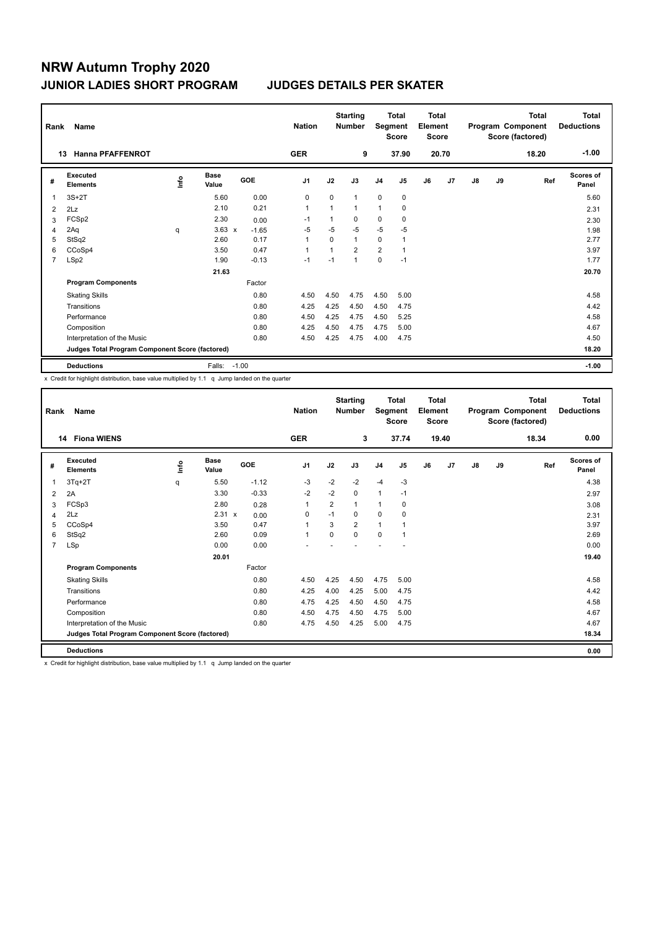| Rank | Name                                            |      |                      |            | <b>Nation</b>  |              | <b>Starting</b><br><b>Number</b> | Segment        | <b>Total</b><br><b>Score</b> | <b>Total</b><br>Element<br><b>Score</b> |                |               |    | Total<br>Program Component<br>Score (factored) | <b>Total</b><br><b>Deductions</b> |
|------|-------------------------------------------------|------|----------------------|------------|----------------|--------------|----------------------------------|----------------|------------------------------|-----------------------------------------|----------------|---------------|----|------------------------------------------------|-----------------------------------|
|      | <b>Hanna PFAFFENROT</b><br>13                   |      |                      |            | <b>GER</b>     |              | 9                                |                | 37.90                        |                                         | 20.70          |               |    | 18.20                                          | $-1.00$                           |
| #    | Executed<br><b>Elements</b>                     | ١nf٥ | <b>Base</b><br>Value | <b>GOE</b> | J <sub>1</sub> | J2           | J3                               | J <sub>4</sub> | J <sub>5</sub>               | J6                                      | J <sub>7</sub> | $\mathsf{J}8$ | J9 | Ref                                            | Scores of<br>Panel                |
| 1    | $3S+2T$                                         |      | 5.60                 | 0.00       | $\mathbf 0$    | $\Omega$     | $\mathbf{1}$                     | $\mathbf 0$    | $\mathbf 0$                  |                                         |                |               |    |                                                | 5.60                              |
| 2    | 2Lz                                             |      | 2.10                 | 0.21       | $\overline{1}$ | $\mathbf{1}$ | $\mathbf{1}$                     | 1              | 0                            |                                         |                |               |    |                                                | 2.31                              |
| 3    | FCS <sub>p2</sub>                               |      | 2.30                 | 0.00       | $-1$           | 1            | $\Omega$                         | 0              | 0                            |                                         |                |               |    |                                                | 2.30                              |
| 4    | 2Aq                                             | q    | $3.63 \times$        | $-1.65$    | $-5$           | $-5$         | $-5$                             | $-5$           | $-5$                         |                                         |                |               |    |                                                | 1.98                              |
| 5    | StSq2                                           |      | 2.60                 | 0.17       | $\overline{1}$ | $\mathbf 0$  | $\mathbf{1}$                     | 0              |                              |                                         |                |               |    |                                                | 2.77                              |
| 6    | CCoSp4                                          |      | 3.50                 | 0.47       | $\overline{1}$ | $\mathbf{1}$ | $\overline{2}$                   | $\overline{2}$ | $\mathbf{1}$                 |                                         |                |               |    |                                                | 3.97                              |
| 7    | LSp2                                            |      | 1.90                 | $-0.13$    | $-1$           | $-1$         | $\mathbf{1}$                     | 0              | $-1$                         |                                         |                |               |    |                                                | 1.77                              |
|      |                                                 |      | 21.63                |            |                |              |                                  |                |                              |                                         |                |               |    |                                                | 20.70                             |
|      | <b>Program Components</b>                       |      |                      | Factor     |                |              |                                  |                |                              |                                         |                |               |    |                                                |                                   |
|      | <b>Skating Skills</b>                           |      |                      | 0.80       | 4.50           | 4.50         | 4.75                             | 4.50           | 5.00                         |                                         |                |               |    |                                                | 4.58                              |
|      | Transitions                                     |      |                      | 0.80       | 4.25           | 4.25         | 4.50                             | 4.50           | 4.75                         |                                         |                |               |    |                                                | 4.42                              |
|      | Performance                                     |      |                      | 0.80       | 4.50           | 4.25         | 4.75                             | 4.50           | 5.25                         |                                         |                |               |    |                                                | 4.58                              |
|      | Composition                                     |      |                      | 0.80       | 4.25           | 4.50         | 4.75                             | 4.75           | 5.00                         |                                         |                |               |    |                                                | 4.67                              |
|      | Interpretation of the Music                     |      |                      | 0.80       | 4.50           | 4.25         | 4.75                             | 4.00           | 4.75                         |                                         |                |               |    |                                                | 4.50                              |
|      | Judges Total Program Component Score (factored) |      |                      |            |                |              |                                  |                |                              |                                         |                |               |    |                                                | 18.20                             |
|      | <b>Deductions</b>                               |      | Falls:               | $-1.00$    |                |              |                                  |                |                              |                                         |                |               |    |                                                | $-1.00$                           |

x Credit for highlight distribution, base value multiplied by 1.1 q Jump landed on the quarter

| Rank           | Name                                            |      |                      |         | <b>Nation</b>  |                | <b>Starting</b><br><b>Number</b> | Segment        | <b>Total</b><br><b>Score</b> | <b>Total</b><br>Element<br><b>Score</b> |       |    |    | <b>Total</b><br>Program Component<br>Score (factored) | <b>Total</b><br><b>Deductions</b> |
|----------------|-------------------------------------------------|------|----------------------|---------|----------------|----------------|----------------------------------|----------------|------------------------------|-----------------------------------------|-------|----|----|-------------------------------------------------------|-----------------------------------|
|                | <b>Fiona WIENS</b><br>14                        |      |                      |         | <b>GER</b>     |                | 3                                |                | 37.74                        |                                         | 19.40 |    |    | 18.34                                                 | 0.00                              |
| #              | Executed<br><b>Elements</b>                     | Life | <b>Base</b><br>Value | GOE     | J <sub>1</sub> | J2             | J3                               | J <sub>4</sub> | J5                           | J6                                      | J7    | J8 | J9 | Ref                                                   | Scores of<br>Panel                |
| 1              | $3Tq+2T$                                        | q    | 5.50                 | $-1.12$ | -3             | $-2$           | $-2$                             | $-4$           | $-3$                         |                                         |       |    |    |                                                       | 4.38                              |
| $\overline{2}$ | 2A                                              |      | 3.30                 | $-0.33$ | $-2$           | $-2$           | 0                                | $\mathbf{1}$   | $-1$                         |                                         |       |    |    |                                                       | 2.97                              |
| 3              | FCSp3                                           |      | 2.80                 | 0.28    | $\mathbf{1}$   | $\overline{2}$ | $\mathbf{1}$                     | $\mathbf{1}$   | 0                            |                                         |       |    |    |                                                       | 3.08                              |
| $\overline{4}$ | 2Lz                                             |      | $2.31 \times$        | 0.00    | 0              | $-1$           | $\Omega$                         | 0              | 0                            |                                         |       |    |    |                                                       | 2.31                              |
| 5              | CCoSp4                                          |      | 3.50                 | 0.47    | $\overline{1}$ | 3              | $\overline{2}$                   | $\overline{1}$ |                              |                                         |       |    |    |                                                       | 3.97                              |
| 6              | StSq2                                           |      | 2.60                 | 0.09    | $\mathbf{1}$   | $\Omega$       | $\Omega$                         | 0              | 1                            |                                         |       |    |    |                                                       | 2.69                              |
| $\overline{7}$ | LSp                                             |      | 0.00                 | 0.00    |                |                |                                  |                |                              |                                         |       |    |    |                                                       | 0.00                              |
|                |                                                 |      | 20.01                |         |                |                |                                  |                |                              |                                         |       |    |    |                                                       | 19.40                             |
|                | <b>Program Components</b>                       |      |                      | Factor  |                |                |                                  |                |                              |                                         |       |    |    |                                                       |                                   |
|                | <b>Skating Skills</b>                           |      |                      | 0.80    | 4.50           | 4.25           | 4.50                             | 4.75           | 5.00                         |                                         |       |    |    |                                                       | 4.58                              |
|                | Transitions                                     |      |                      | 0.80    | 4.25           | 4.00           | 4.25                             | 5.00           | 4.75                         |                                         |       |    |    |                                                       | 4.42                              |
|                | Performance                                     |      |                      | 0.80    | 4.75           | 4.25           | 4.50                             | 4.50           | 4.75                         |                                         |       |    |    |                                                       | 4.58                              |
|                | Composition                                     |      |                      | 0.80    | 4.50           | 4.75           | 4.50                             | 4.75           | 5.00                         |                                         |       |    |    |                                                       | 4.67                              |
|                | Interpretation of the Music                     |      |                      | 0.80    | 4.75           | 4.50           | 4.25                             | 5.00           | 4.75                         |                                         |       |    |    |                                                       | 4.67                              |
|                | Judges Total Program Component Score (factored) |      |                      |         |                |                |                                  |                |                              |                                         |       |    |    |                                                       | 18.34                             |
|                | <b>Deductions</b>                               |      |                      |         |                |                |                                  |                |                              |                                         |       |    |    |                                                       | 0.00                              |

x Credit for highlight distribution, base value multiplied by 1.1 q Jump landed on the quarter